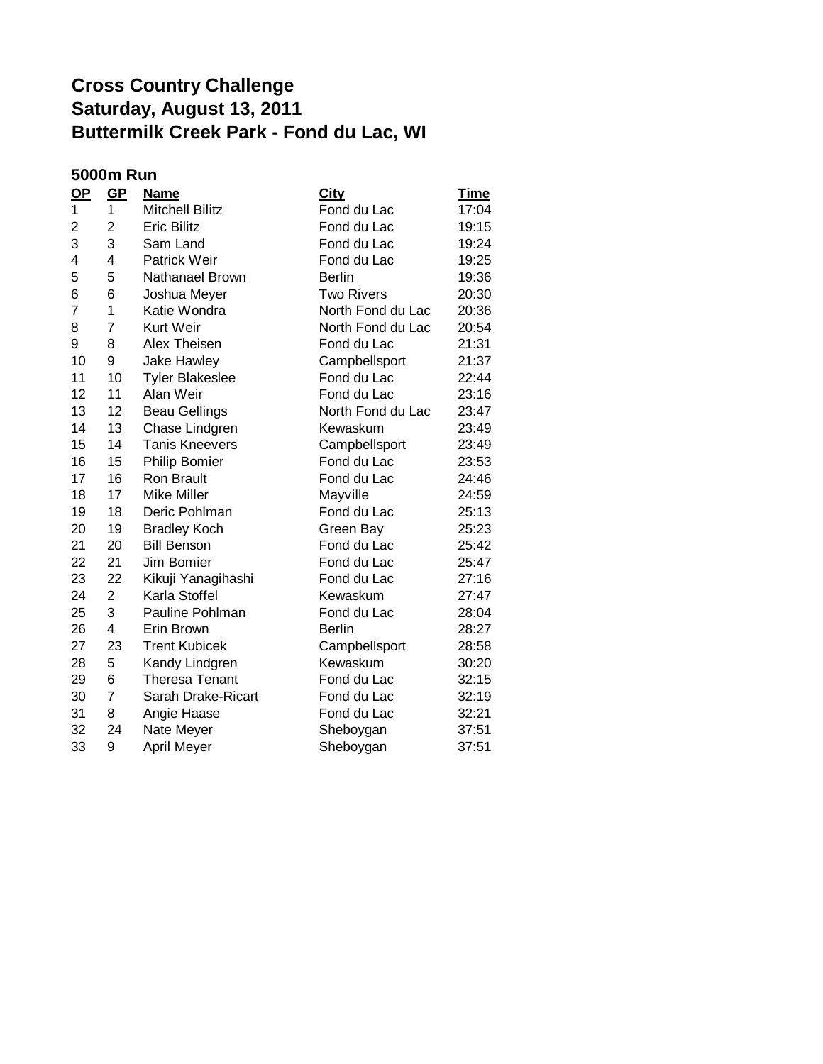## **Cross Country Challenge Saturday, August 13, 2011 Buttermilk Creek Park - Fond du Lac, WI**

## **5000m Run**

| $OP$ | $GP$           | <u>Name</u>            | City              | <b>Time</b> |
|------|----------------|------------------------|-------------------|-------------|
| 1    | 1              | <b>Mitchell Bilitz</b> | Fond du Lac       | 17:04       |
| 2    | 2              | <b>Eric Bilitz</b>     | Fond du Lac       | 19:15       |
| 3    | 3              | Sam Land               | Fond du Lac       | 19:24       |
| 4    | 4              | <b>Patrick Weir</b>    | Fond du Lac       | 19:25       |
| 5    | 5              | Nathanael Brown        | <b>Berlin</b>     | 19:36       |
| 6    | 6              | Joshua Meyer           | <b>Two Rivers</b> | 20:30       |
| 7    | 1              | Katie Wondra           | North Fond du Lac | 20:36       |
| 8    | $\overline{7}$ | <b>Kurt Weir</b>       | North Fond du Lac | 20:54       |
| 9    | 8              | Alex Theisen           | Fond du Lac       | 21:31       |
| 10   | 9              | <b>Jake Hawley</b>     | Campbellsport     | 21:37       |
| 11   | 10             | <b>Tyler Blakeslee</b> | Fond du Lac       | 22:44       |
| 12   | 11             | Alan Weir              | Fond du Lac       | 23:16       |
| 13   | 12             | <b>Beau Gellings</b>   | North Fond du Lac | 23:47       |
| 14   | 13             | Chase Lindgren         | Kewaskum          | 23:49       |
| 15   | 14             | <b>Tanis Kneevers</b>  | Campbellsport     | 23:49       |
| 16   | 15             | <b>Philip Bomier</b>   | Fond du Lac       | 23:53       |
| 17   | 16             | <b>Ron Brault</b>      | Fond du Lac       | 24:46       |
| 18   | 17             | Mike Miller            | Mayville          | 24:59       |
| 19   | 18             | Deric Pohlman          | Fond du Lac       | 25:13       |
| 20   | 19             | <b>Bradley Koch</b>    | Green Bay         | 25:23       |
| 21   | 20             | <b>Bill Benson</b>     | Fond du Lac       | 25:42       |
| 22   | 21             | Jim Bomier             | Fond du Lac       | 25:47       |
| 23   | 22             | Kikuji Yanagihashi     | Fond du Lac       | 27:16       |
| 24   | 2              | Karla Stoffel          | Kewaskum          | 27:47       |
| 25   | 3              | Pauline Pohlman        | Fond du Lac       | 28:04       |
| 26   | 4              | Erin Brown             | <b>Berlin</b>     | 28:27       |
| 27   | 23             | <b>Trent Kubicek</b>   | Campbellsport     | 28:58       |
| 28   | 5              | Kandy Lindgren         | Kewaskum          | 30:20       |
| 29   | 6              | <b>Theresa Tenant</b>  | Fond du Lac       | 32:15       |
| 30   | $\overline{7}$ | Sarah Drake-Ricart     | Fond du Lac       | 32:19       |
| 31   | 8              | Angie Haase            | Fond du Lac       | 32:21       |
| 32   | 24             | Nate Meyer             | Sheboygan         | 37:51       |
| 33   | 9              | April Meyer            | Sheboygan         | 37:51       |